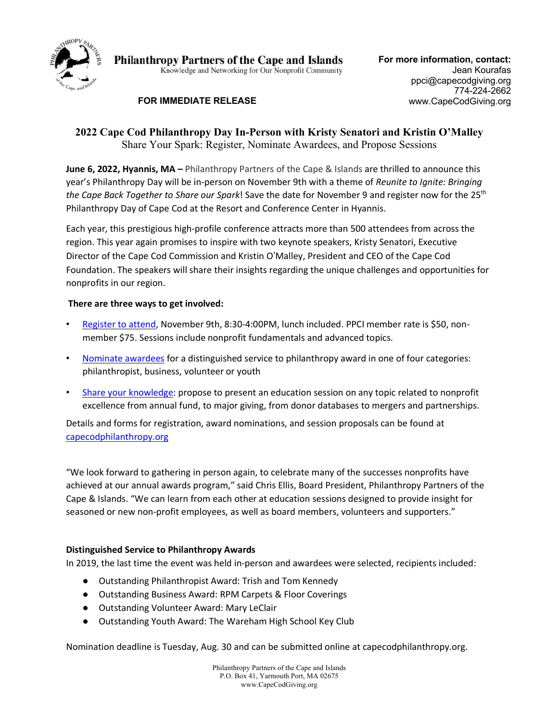

**Philanthropy Partners of the Cape and Islands** Knowledge and Networking for Our Nonprofit Community

# **FOR IMMEDIATE RELEASE**

# **2022 Cape Cod Philanthropy Day In-Person with Kristy Senatori and Kristin O'Malley** Share Your Spark: Register, Nominate Awardees, and Propose Sessions

**June 6, 2022, Hyannis, MA –** Philanthropy Partners of the Cape & Islands are thrilled to announce this year's Philanthropy Day will be in-person on November 9th with a theme of *Reunite to Ignite: Bringing the Cape Back Together to Share our Spark*! Save the date for November 9 and register now for the 25th Philanthropy Day of Cape Cod at the Resort and Conference Center in Hyannis.

Each year, this prestigious high-profile conference attracts more than 500 attendees from across the region. This year again promises to inspire with two keynote speakers, Kristy Senatori, Executive Director of the Cape Cod Commission and Kristin O'Malley, President and CEO of the Cape Cod Foundation. The speakers will share their insights regarding the unique challenges and opportunities for nonprofits in our region.

## **There are three ways to get involved:**

- Register to attend, November 9th, 8:30-4:00PM, lunch included. PPCI member rate is \$50, nonmember \$75. Sessions include nonprofit fundamentals and advanced topics.
- Nominate awardees for a distinguished service to philanthropy award in one of four categories: philanthropist, business, volunteer or youth
- Share your knowledge: propose to present an education session on any topic related to nonprofit excellence from annual fund, to major giving, from donor databases to mergers and partnerships.

Details and forms for registration, award nominations, and session proposals can be found at capecodphilanthropy.org

"We look forward to gathering in person again, to celebrate many of the successes nonprofits have achieved at our annual awards program," said Chris Ellis, Board President, Philanthropy Partners of the Cape & Islands. "We can learn from each other at education sessions designed to provide insight for seasoned or new non-profit employees, as well as board members, volunteers and supporters."

## **Distinguished Service to Philanthropy Awards**

In 2019, the last time the event was held in-person and awardees were selected, recipients included:

- Outstanding Philanthropist Award: Trish and Tom Kennedy
- Outstanding Business Award: RPM Carpets & Floor Coverings
- Outstanding Volunteer Award: Mary LeClair
- Outstanding Youth Award: The Wareham High School Key Club

Nomination deadline is Tuesday, Aug. 30 and can be submitted online at capecodphilanthropy.org.